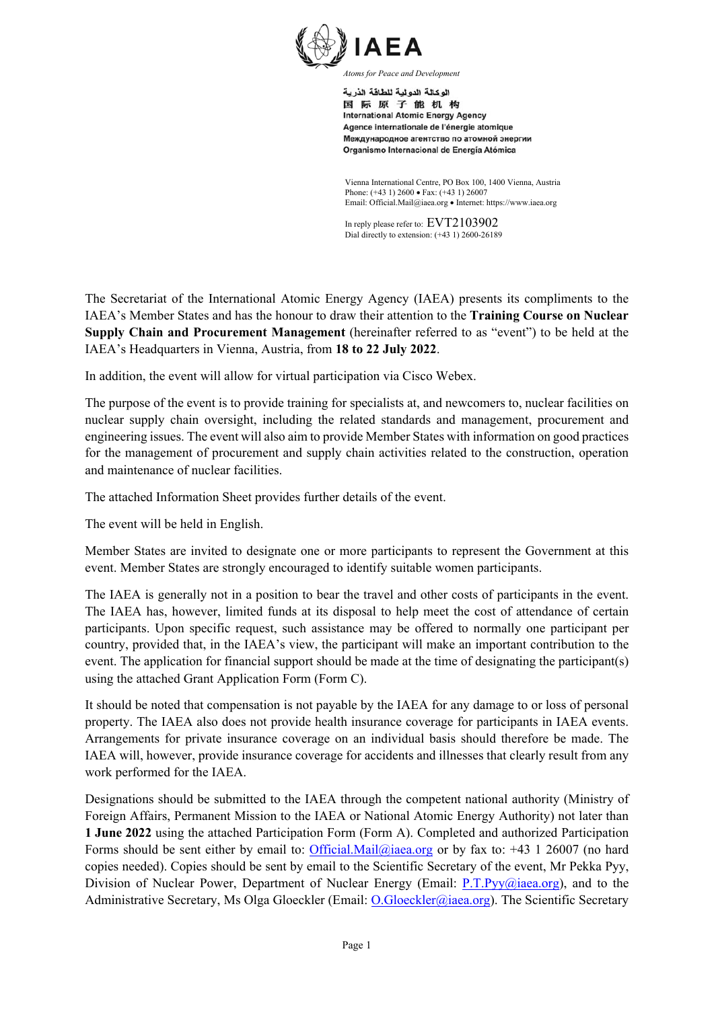

اله كالة الده لبة للطاقة الذرية 国际原子能机构 **International Atomic Energy Agency** Agence internationale de l'énergie atomique Международное агентство по атомной энергии Organismo Internacional de Energía Atómica

Vienna International Centre, PO Box 100, 1400 Vienna, Austria Phone: (+43 1) 2600 • Fax: (+43 1) 26007 Email: Official.Mail@iaea.org Internet: https://www.iaea.org

In reply please refer to: EVT2103902 Dial directly to extension: (+43 1) 2600-26189

The Secretariat of the International Atomic Energy Agency (IAEA) presents its compliments to the IAEA's Member States and has the honour to draw their attention to the **Training Course on Nuclear Supply Chain and Procurement Management** (hereinafter referred to as "event") to be held at the IAEA's Headquarters in Vienna, Austria, from **18 to 22 July 2022**.

In addition, the event will allow for virtual participation via Cisco Webex.

The purpose of the event is to provide training for specialists at, and newcomers to, nuclear facilities on nuclear supply chain oversight, including the related standards and management, procurement and engineering issues. The event will also aim to provide Member States with information on good practices for the management of procurement and supply chain activities related to the construction, operation and maintenance of nuclear facilities.

The attached Information Sheet provides further details of the event.

The event will be held in English.

Member States are invited to designate one or more participants to represent the Government at this event. Member States are strongly encouraged to identify suitable women participants.

The IAEA is generally not in a position to bear the travel and other costs of participants in the event. The IAEA has, however, limited funds at its disposal to help meet the cost of attendance of certain participants. Upon specific request, such assistance may be offered to normally one participant per country, provided that, in the IAEA's view, the participant will make an important contribution to the event. The application for financial support should be made at the time of designating the participant(s) using the attached Grant Application Form (Form C).

It should be noted that compensation is not payable by the IAEA for any damage to or loss of personal property. The IAEA also does not provide health insurance coverage for participants in IAEA events. Arrangements for private insurance coverage on an individual basis should therefore be made. The IAEA will, however, provide insurance coverage for accidents and illnesses that clearly result from any work performed for the IAEA.

Designations should be submitted to the IAEA through the competent national authority (Ministry of Foreign Affairs, Permanent Mission to the IAEA or National Atomic Energy Authority) not later than **1 June 2022** using the attached Participation Form (Form A). Completed and authorized Participation Forms should be sent either by email to: Official.Mail@iaea.org or by fax to:  $+43$  1 26007 (no hard copies needed). Copies should be sent by email to the Scientific Secretary of the event, Mr Pekka Pyy, Division of Nuclear Power, Department of Nuclear Energy (Email: P.T.Pyy@iaea.org), and to the Administrative Secretary, Ms Olga Gloeckler (Email: O.Gloeckler@iaea.org). The Scientific Secretary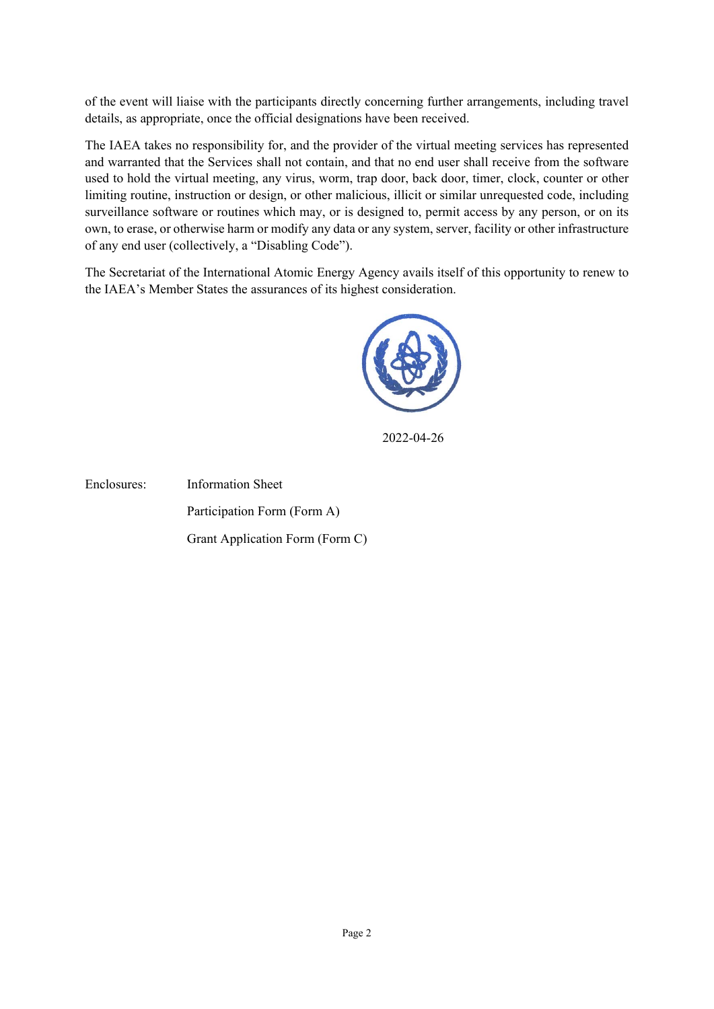of the event will liaise with the participants directly concerning further arrangements, including travel details, as appropriate, once the official designations have been received.

The IAEA takes no responsibility for, and the provider of the virtual meeting services has represented and warranted that the Services shall not contain, and that no end user shall receive from the software used to hold the virtual meeting, any virus, worm, trap door, back door, timer, clock, counter or other limiting routine, instruction or design, or other malicious, illicit or similar unrequested code, including surveillance software or routines which may, or is designed to, permit access by any person, or on its own, to erase, or otherwise harm or modify any data or any system, server, facility or other infrastructure of any end user (collectively, a "Disabling Code").

The Secretariat of the International Atomic Energy Agency avails itself of this opportunity to renew to the IAEA's Member States the assurances of its highest consideration.



2022-04-26

Enclosures: Information Sheet Participation Form (Form A) Grant Application Form (Form C)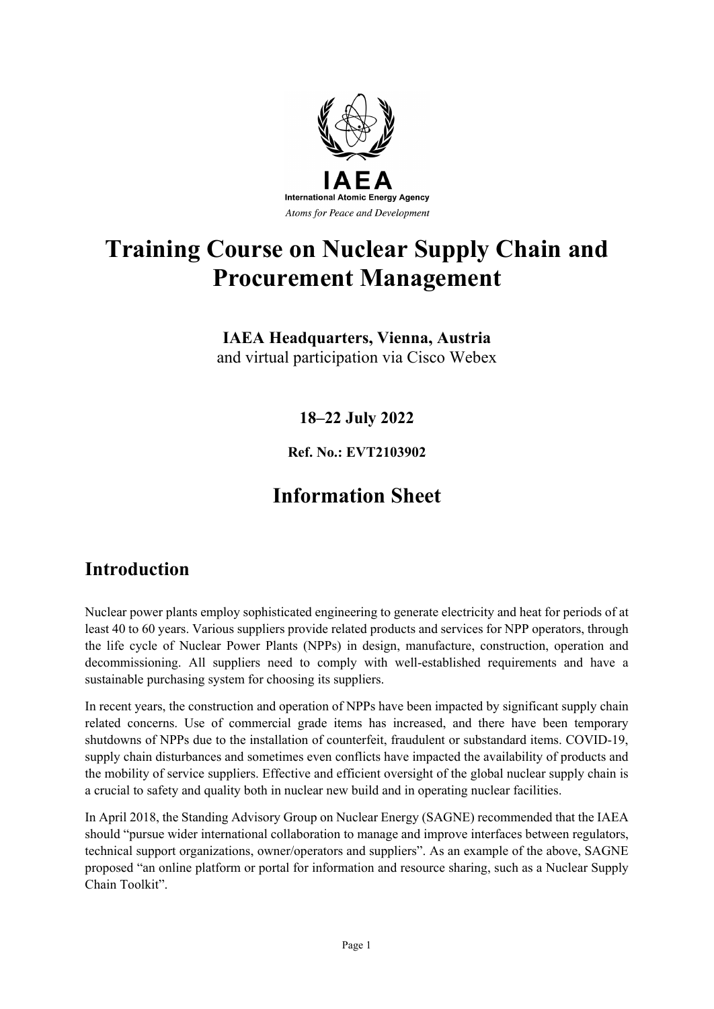

# **Training Course on Nuclear Supply Chain and Procurement Management**

**IAEA Headquarters, Vienna, Austria** and virtual participation via Cisco Webex

**18–22 July 2022**

**Ref. No.: EVT2103902**

## **Information Sheet**

### **Introduction**

Nuclear power plants employ sophisticated engineering to generate electricity and heat for periods of at least 40 to 60 years. Various suppliers provide related products and services for NPP operators, through the life cycle of Nuclear Power Plants (NPPs) in design, manufacture, construction, operation and decommissioning. All suppliers need to comply with well-established requirements and have a sustainable purchasing system for choosing its suppliers.

In recent years, the construction and operation of NPPs have been impacted by significant supply chain related concerns. Use of commercial grade items has increased, and there have been temporary shutdowns of NPPs due to the installation of counterfeit, fraudulent or substandard items. COVID-19, supply chain disturbances and sometimes even conflicts have impacted the availability of products and the mobility of service suppliers. Effective and efficient oversight of the global nuclear supply chain is a crucial to safety and quality both in nuclear new build and in operating nuclear facilities.

In April 2018, the Standing Advisory Group on Nuclear Energy (SAGNE) recommended that the IAEA should "pursue wider international collaboration to manage and improve interfaces between regulators, technical support organizations, owner/operators and suppliers". As an example of the above, SAGNE proposed "an online platform or portal for information and resource sharing, such as a Nuclear Supply Chain Toolkit".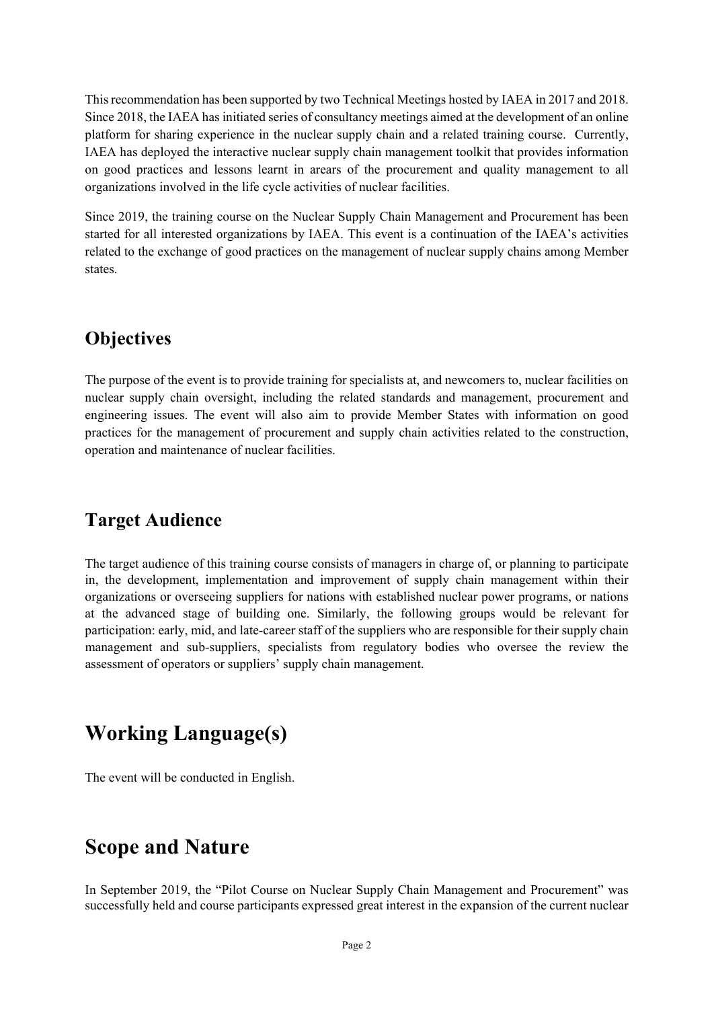This recommendation has been supported by two Technical Meetings hosted by IAEA in 2017 and 2018. Since 2018, the IAEA has initiated series of consultancy meetings aimed at the development of an online platform for sharing experience in the nuclear supply chain and a related training course. Currently, IAEA has deployed the interactive nuclear supply chain management toolkit that provides information on good practices and lessons learnt in arears of the procurement and quality management to all organizations involved in the life cycle activities of nuclear facilities.

Since 2019, the training course on the Nuclear Supply Chain Management and Procurement has been started for all interested organizations by IAEA. This event is a continuation of the IAEA's activities related to the exchange of good practices on the management of nuclear supply chains among Member states.

### **Objectives**

The purpose of the event is to provide training for specialists at, and newcomers to, nuclear facilities on nuclear supply chain oversight, including the related standards and management, procurement and engineering issues. The event will also aim to provide Member States with information on good practices for the management of procurement and supply chain activities related to the construction, operation and maintenance of nuclear facilities.

### **Target Audience**

The target audience of this training course consists of managers in charge of, or planning to participate in, the development, implementation and improvement of supply chain management within their organizations or overseeing suppliers for nations with established nuclear power programs, or nations at the advanced stage of building one. Similarly, the following groups would be relevant for participation: early, mid, and late-career staff of the suppliers who are responsible for their supply chain management and sub-suppliers, specialists from regulatory bodies who oversee the review the assessment of operators or suppliers' supply chain management.

## **Working Language(s)**

The event will be conducted in English.

### **Scope and Nature**

In September 2019, the "Pilot Course on Nuclear Supply Chain Management and Procurement" was successfully held and course participants expressed great interest in the expansion of the current nuclear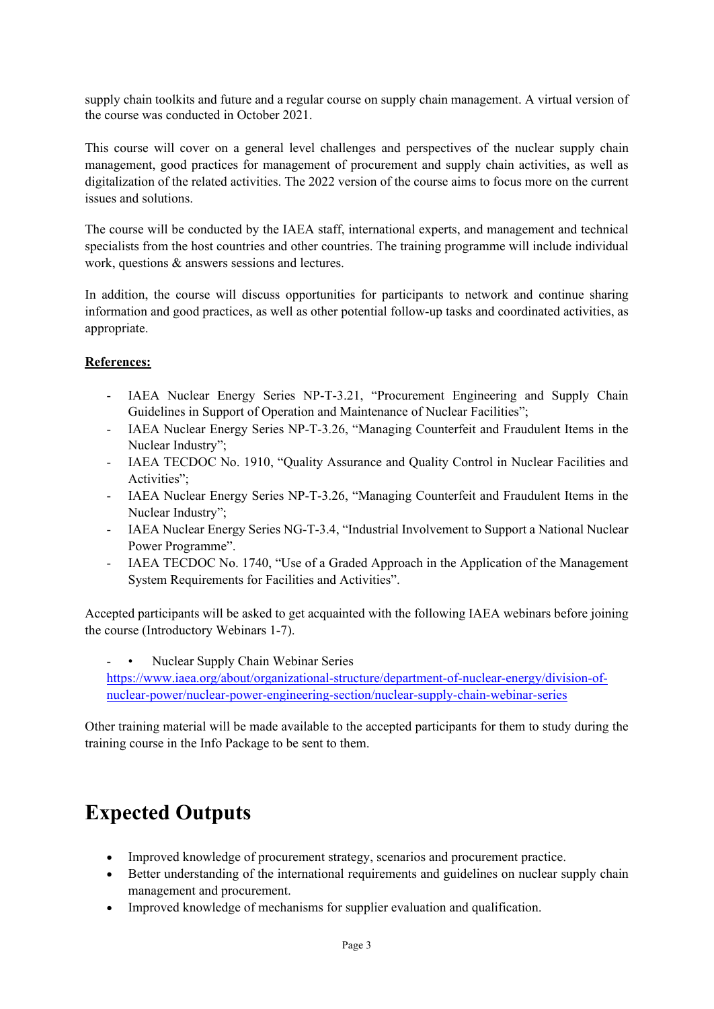supply chain toolkits and future and a regular course on supply chain management. A virtual version of the course was conducted in October 2021.

This course will cover on a general level challenges and perspectives of the nuclear supply chain management, good practices for management of procurement and supply chain activities, as well as digitalization of the related activities. The 2022 version of the course aims to focus more on the current issues and solutions.

The course will be conducted by the IAEA staff, international experts, and management and technical specialists from the host countries and other countries. The training programme will include individual work, questions & answers sessions and lectures.

In addition, the course will discuss opportunities for participants to network and continue sharing information and good practices, as well as other potential follow-up tasks and coordinated activities, as appropriate.

#### **References:**

- IAEA Nuclear Energy Series NP-T-3.21, "Procurement Engineering and Supply Chain Guidelines in Support of Operation and Maintenance of Nuclear Facilities";
- IAEA Nuclear Energy Series NP-T-3.26, "Managing Counterfeit and Fraudulent Items in the Nuclear Industry";
- IAEA TECDOC No. 1910, "Quality Assurance and Quality Control in Nuclear Facilities and Activities";
- IAEA Nuclear Energy Series NP-T-3.26, "Managing Counterfeit and Fraudulent Items in the Nuclear Industry";
- IAEA Nuclear Energy Series NG-T-3.4, "Industrial Involvement to Support a National Nuclear Power Programme".
- IAEA TECDOC No. 1740, "Use of a Graded Approach in the Application of the Management System Requirements for Facilities and Activities".

Accepted participants will be asked to get acquainted with the following IAEA webinars before joining the course (Introductory Webinars 1-7).

Nuclear Supply Chain Webinar Series [https://www.iaea.org/about/organizational-structure/department-of-nuclear-energy/division-of](https://www.iaea.org/about/organizational-structure/department-of-nuclear-energy/division-of-nuclear-power/nuclear-power-engineering-section/nuclear-supply-chain-webinar-series)[nuclear-power/nuclear-power-engineering-section/nuclear-supply-chain-webinar-series](https://www.iaea.org/about/organizational-structure/department-of-nuclear-energy/division-of-nuclear-power/nuclear-power-engineering-section/nuclear-supply-chain-webinar-series)

Other training material will be made available to the accepted participants for them to study during the training course in the Info Package to be sent to them.

## **Expected Outputs**

- Improved knowledge of procurement strategy, scenarios and procurement practice.
- Better understanding of the international requirements and guidelines on nuclear supply chain management and procurement.
- Improved knowledge of mechanisms for supplier evaluation and qualification.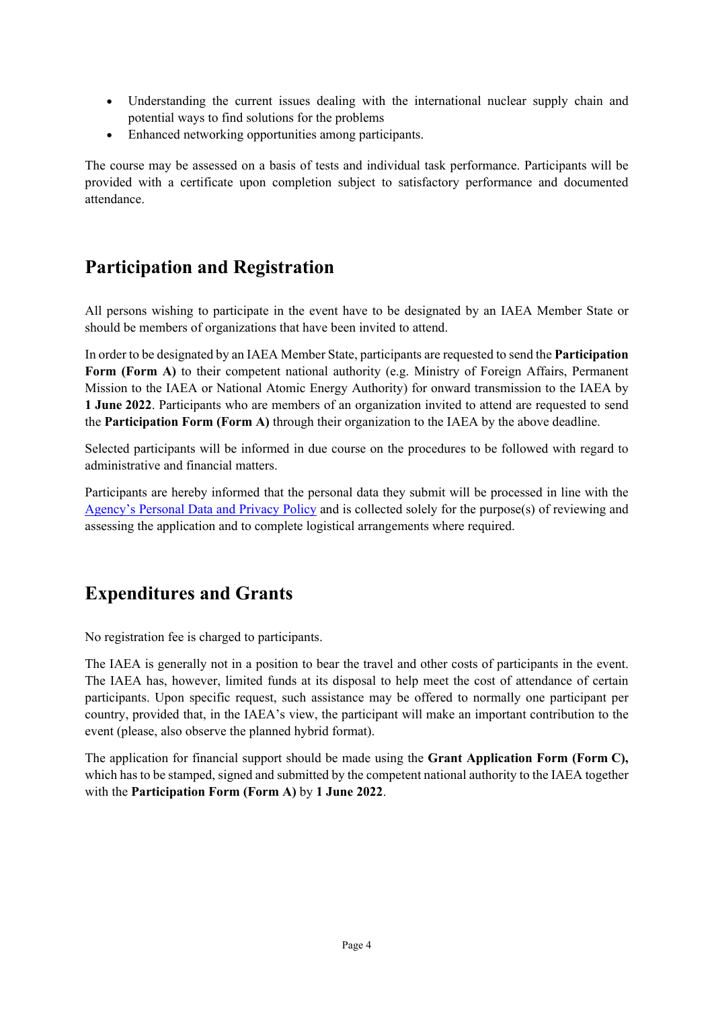- Understanding the current issues dealing with the international nuclear supply chain and potential ways to find solutions for the problems
- Enhanced networking opportunities among participants.

The course may be assessed on a basis of tests and individual task performance. Participants will be provided with a certificate upon completion subject to satisfactory performance and documented attendance.

### **Participation and Registration**

All persons wishing to participate in the event have to be designated by an IAEA Member State or should be members of organizations that have been invited to attend.

In order to be designated by an IAEA Member State, participants are requested to send the **Participation Form (Form A)** to their competent national authority (e.g. Ministry of Foreign Affairs, Permanent Mission to the IAEA or National Atomic Energy Authority) for onward transmission to the IAEA by **1 June 2022**. Participants who are members of an organization invited to attend are requested to send the **Participation Form (Form A)** through their organization to the IAEA by the above deadline.

Selected participants will be informed in due course on the procedures to be followed with regard to administrative and financial matters.

Participants are hereby informed that the personal data they submit will be processed in line with the [Agency's Personal Data and Privacy Policy](https://www.iaea.org/about/privacy-policy#:%7E:text=The%20IAEA%20is%20committed%20to,accountable%20and%20non%2Ddiscriminatory%20manner.&text=The%20Privacy%20Policy%20provides%20the,carrying%20out%20its%20mandated%20activities.) and is collected solely for the purpose(s) of reviewing and assessing the application and to complete logistical arrangements where required.

### **Expenditures and Grants**

No registration fee is charged to participants.

The IAEA is generally not in a position to bear the travel and other costs of participants in the event. The IAEA has, however, limited funds at its disposal to help meet the cost of attendance of certain participants. Upon specific request, such assistance may be offered to normally one participant per country, provided that, in the IAEA's view, the participant will make an important contribution to the event (please, also observe the planned hybrid format).

The application for financial support should be made using the **Grant Application Form (Form C),** which has to be stamped, signed and submitted by the competent national authority to the IAEA together with the **Participation Form (Form A)** by **1 June 2022**.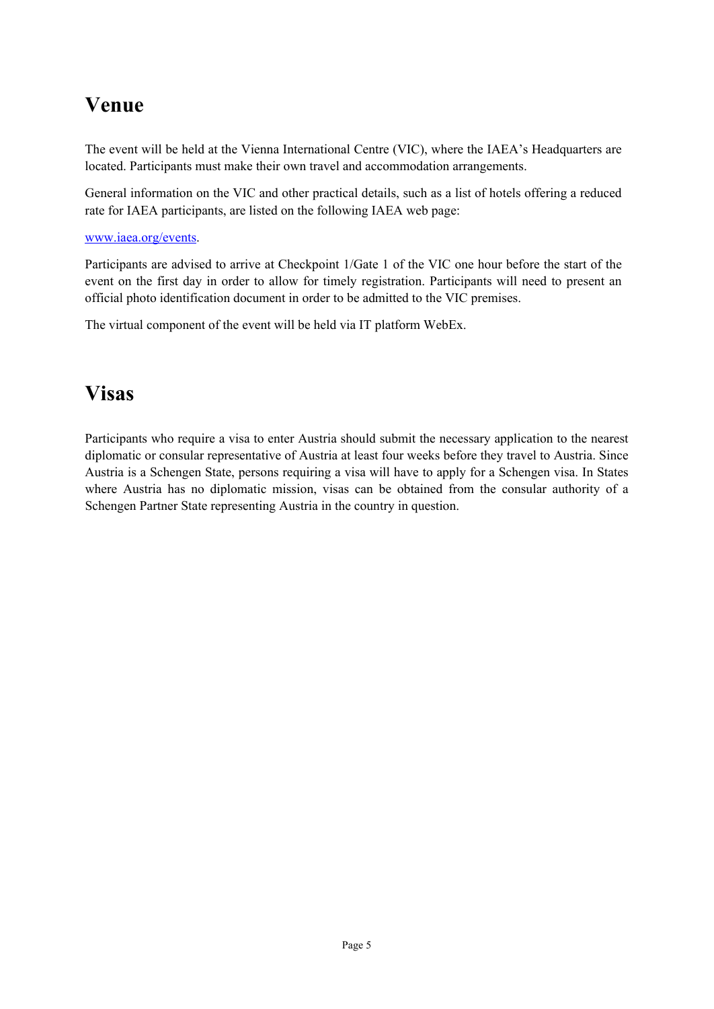## **Venue**

The event will be held at the Vienna International Centre (VIC), where the IAEA's Headquarters are located. Participants must make their own travel and accommodation arrangements.

General information on the VIC and other practical details, such as a list of hotels offering a reduced rate for IAEA participants, are listed on the following IAEA web page:

#### [www.iaea.org/events.](http://www.iaea.org/events)

Participants are advised to arrive at Checkpoint 1/Gate 1 of the VIC one hour before the start of the event on the first day in order to allow for timely registration. Participants will need to present an official photo identification document in order to be admitted to the VIC premises.

The virtual component of the event will be held via IT platform WebEx.

## **Visas**

Participants who require a visa to enter Austria should submit the necessary application to the nearest diplomatic or consular representative of Austria at least four weeks before they travel to Austria. Since Austria is a Schengen State, persons requiring a visa will have to apply for a Schengen visa. In States where Austria has no diplomatic mission, visas can be obtained from the consular authority of a Schengen Partner State representing Austria in the country in question.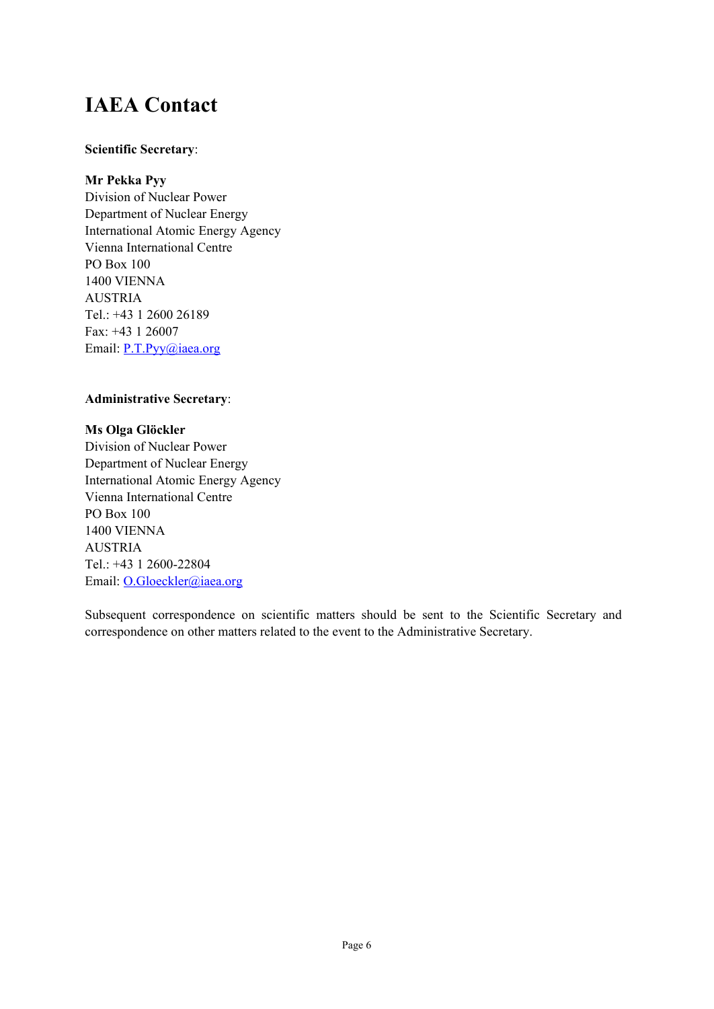## **IAEA Contact**

#### **Scientific Secretary**:

#### **Mr Pekka Pyy**

Division of Nuclear Power Department of Nuclear Energy International Atomic Energy Agency Vienna International Centre PO Box 100 1400 VIENNA AUSTRIA Tel.: +43 1 2600 26189 Fax: +43 1 26007 Email: [P.T.Pyy@iaea.org](mailto:P.T.Pyy@iaea.org)

#### **Administrative Secretary**:

**Ms Olga Glöckler** Division of Nuclear Power Department of Nuclear Energy International Atomic Energy Agency Vienna International Centre PO Box 100 1400 VIENNA AUSTRIA Tel.: +43 1 2600-22804 Email: [O.Gloeckler@iaea.org](mailto:O.Gloeckler@iaea.org)

Subsequent correspondence on scientific matters should be sent to the Scientific Secretary and correspondence on other matters related to the event to the Administrative Secretary.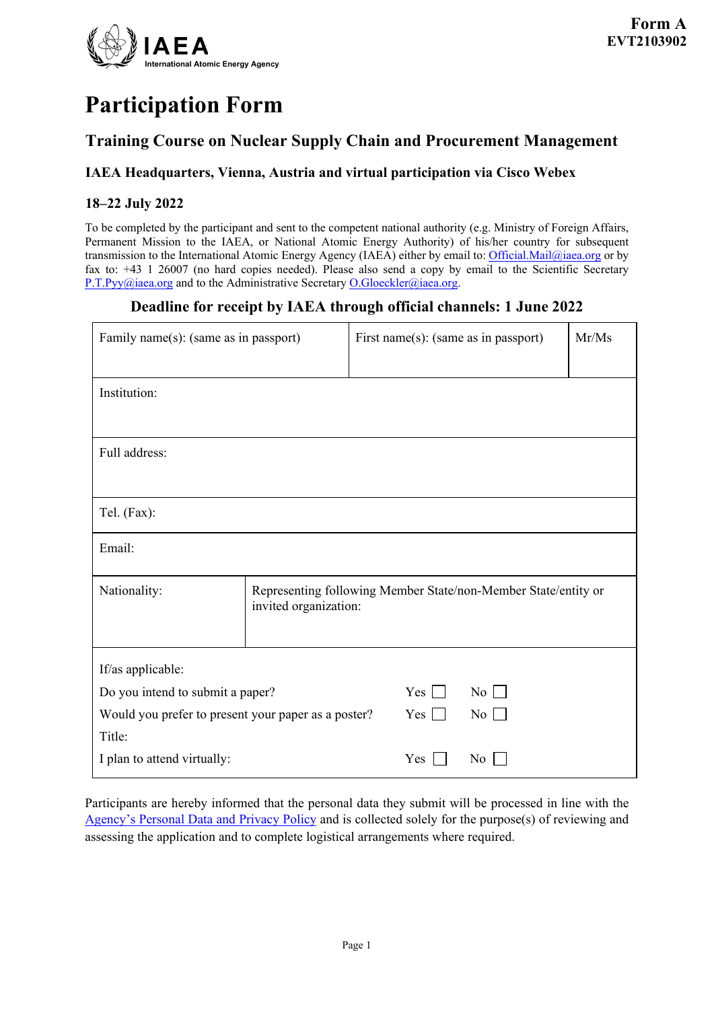

# **Participation Form**

### **Training Course on Nuclear Supply Chain and Procurement Management**

#### **IAEA Headquarters, Vienna, Austria and virtual participation via Cisco Webex**

#### **18–22 July 2022**

To be completed by the participant and sent to the competent national authority (e.g. Ministry of Foreign Affairs, Permanent Mission to the IAEA, or National Atomic Energy Authority) of his/her country for subsequent transmission to the International Atomic Energy Agency (IAEA) either by email to[: Official.Mail@iaea.org](mailto:official.mail@iaea.org) or by fax to: +43 1 26007 (no hard copies needed). Please also send a copy by email to the Scientific Secretary [P.T.Pyy@iaea.org](mailto:P.T.Pyy@iaea.org) and to the Administrative Secretar[y O.Gloeckler@iaea.org.](mailto:O.Gloeckler@iaea.org)

#### **Deadline for receipt by IAEA through official channels: 1 June 2022**

| Family name(s): (same as in passport)               |                                                                                         | First name(s): (same as in passport) |                    | Mr/Ms |
|-----------------------------------------------------|-----------------------------------------------------------------------------------------|--------------------------------------|--------------------|-------|
| Institution:                                        |                                                                                         |                                      |                    |       |
| Full address:                                       |                                                                                         |                                      |                    |       |
| Tel. (Fax):                                         |                                                                                         |                                      |                    |       |
| Email:                                              |                                                                                         |                                      |                    |       |
| Nationality:                                        | Representing following Member State/non-Member State/entity or<br>invited organization: |                                      |                    |       |
| If/as applicable:                                   |                                                                                         |                                      |                    |       |
| Do you intend to submit a paper?                    |                                                                                         | $Yes \mid$                           | $\overline{N_{0}}$ |       |
| Would you prefer to present your paper as a poster? |                                                                                         | Yes                                  | No                 |       |
| Title:                                              |                                                                                         |                                      |                    |       |
| I plan to attend virtually:                         |                                                                                         | Yes                                  | No                 |       |

Participants are hereby informed that the personal data they submit will be processed in line with the [Agency's Personal Data and Privacy Policy](https://www.iaea.org/about/privacy-policy#:%7E:text=The%20IAEA%20is%20committed%20to,accountable%20and%20non%2Ddiscriminatory%20manner.&text=The%20Privacy%20Policy%20provides%20the,carrying%20out%20its%20mandated%20activities.) and is collected solely for the purpose(s) of reviewing and assessing the application and to complete logistical arrangements where required.